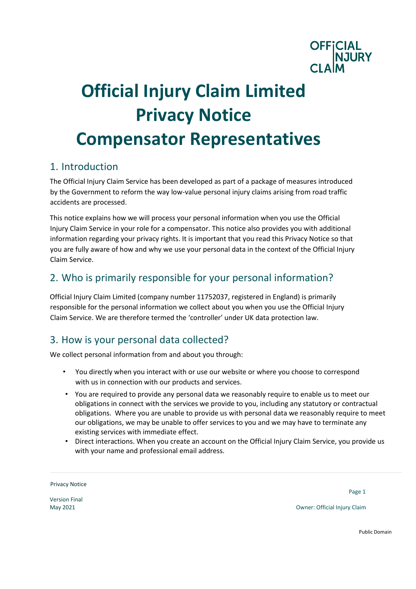

# **Official Injury Claim Limited Privacy Notice Compensator Representatives**

#### 1. Introduction

The Official Injury Claim Service has been developed as part of a package of measures introduced by the Government to reform the way low-value personal injury claims arising from road traffic accidents are processed.

This notice explains how we will process your personal information when you use the Official Injury Claim Service in your role for a compensator. This notice also provides you with additional information regarding your privacy rights. It is important that you read this Privacy Notice so that you are fully aware of how and why we use your personal data in the context of the Official Injury Claim Service.

# 2. Who is primarily responsible for your personal information?

Official Injury Claim Limited (company number 11752037, registered in England) is primarily responsible for the personal information we collect about you when you use the Official Injury Claim Service. We are therefore termed the 'controller' under UK data protection law.

# 3. How is your personal data collected?

We collect personal information from and about you through:

- You directly when you interact with or use our website or where you choose to correspond with us in connection with our products and services.
- You are required to provide any personal data we reasonably require to enable us to meet our obligations in connect with the services we provide to you, including any statutory or contractual obligations. Where you are unable to provide us with personal data we reasonably require to meet our obligations, we may be unable to offer services to you and we may have to terminate any existing services with immediate effect.
- Direct interactions. When you create an account on the Official Injury Claim Service, you provide us with your name and professional email address.

Privacy Notice

Version Final

Page 1

May 2021 Owner: Official Injury Claim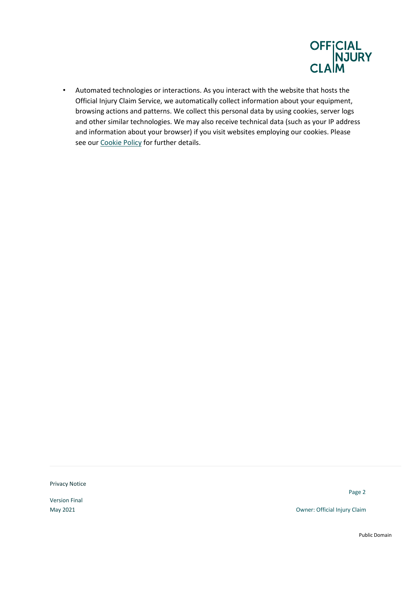

• Automated technologies or interactions. As you interact with the website that hosts the Official Injury Claim Service, we automatically collect information about your equipment, browsing actions and patterns. We collect this personal data by using cookies, server logs and other similar technologies. We may also receive technical data (such as your IP address and information about your browser) if you visit websites employing our cookies. Please see ou[r Cookie Policy](https://www.officialinjuryclaim.org.uk/cookies-policy/) for further details.

Privacy Notice

Version Final

Page 2

May 2021 Owner: Official Injury Claim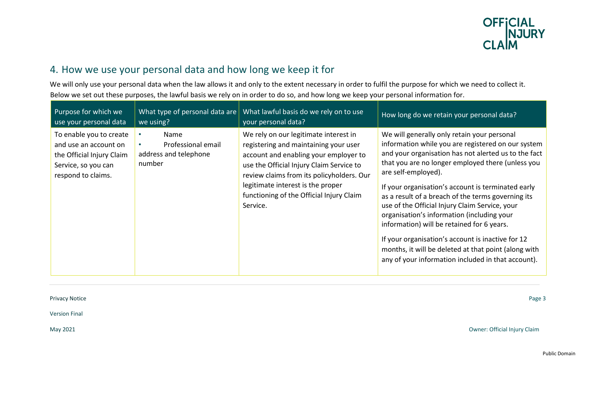

# 4. How we use your personal data and how long we keep it for

We will only use your personal data when the law allows it and only to the extent necessary in order to fulfil the purpose for which we need to collect it. Below we set out these purposes, the lawful basis we rely on in order to do so, and how long we keep your personal information for.

| Purpose for which we<br>use your personal data                                                                             | we using?                                                     | What type of personal data are What lawful basis do we rely on to use<br>your personal data?                                                                                                                                                                                                                  | How long do we retain your personal data?                                                                                                                                                                                                                                                                                                                                                                                                                                                                                                                                                                                                                          |
|----------------------------------------------------------------------------------------------------------------------------|---------------------------------------------------------------|---------------------------------------------------------------------------------------------------------------------------------------------------------------------------------------------------------------------------------------------------------------------------------------------------------------|--------------------------------------------------------------------------------------------------------------------------------------------------------------------------------------------------------------------------------------------------------------------------------------------------------------------------------------------------------------------------------------------------------------------------------------------------------------------------------------------------------------------------------------------------------------------------------------------------------------------------------------------------------------------|
| To enable you to create<br>and use an account on<br>the Official Injury Claim<br>Service, so you can<br>respond to claims. | Name<br>Professional email<br>address and telephone<br>number | We rely on our legitimate interest in<br>registering and maintaining your user<br>account and enabling your employer to<br>use the Official Injury Claim Service to<br>review claims from its policyholders. Our<br>legitimate interest is the proper<br>functioning of the Official Injury Claim<br>Service. | We will generally only retain your personal<br>information while you are registered on our system<br>and your organisation has not alerted us to the fact<br>that you are no longer employed there (unless you<br>are self-employed).<br>If your organisation's account is terminated early<br>as a result of a breach of the terms governing its<br>use of the Official Injury Claim Service, your<br>organisation's information (including your<br>information) will be retained for 6 years.<br>If your organisation's account is inactive for 12<br>months, it will be deleted at that point (along with<br>any of your information included in that account). |

Privacy Notice Page 3

Version Final

May 2021 Owner: Official Injury Claim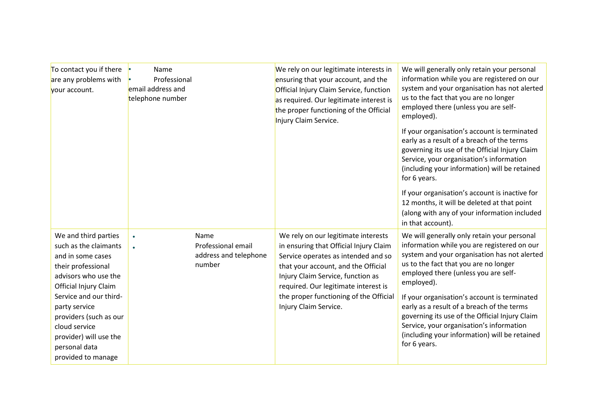| To contact you if there<br>are any problems with<br>your account.                                                                                                                                                                                                                                | Name<br>Professional<br>email address and<br>telephone number |                                                               | We rely on our legitimate interests in<br>ensuring that your account, and the<br>Official Injury Claim Service, function<br>as required. Our legitimate interest is<br>the proper functioning of the Official<br>Injury Claim Service.                                                                      | We will generally only retain your personal<br>information while you are registered on our<br>system and your organisation has not alerted<br>us to the fact that you are no longer<br>employed there (unless you are self-<br>employed).<br>If your organisation's account is terminated<br>early as a result of a breach of the terms<br>governing its use of the Official Injury Claim<br>Service, your organisation's information<br>(including your information) will be retained<br>for 6 years.<br>If your organisation's account is inactive for<br>12 months, it will be deleted at that point<br>(along with any of your information included<br>in that account). |
|--------------------------------------------------------------------------------------------------------------------------------------------------------------------------------------------------------------------------------------------------------------------------------------------------|---------------------------------------------------------------|---------------------------------------------------------------|-------------------------------------------------------------------------------------------------------------------------------------------------------------------------------------------------------------------------------------------------------------------------------------------------------------|------------------------------------------------------------------------------------------------------------------------------------------------------------------------------------------------------------------------------------------------------------------------------------------------------------------------------------------------------------------------------------------------------------------------------------------------------------------------------------------------------------------------------------------------------------------------------------------------------------------------------------------------------------------------------|
| We and third parties<br>such as the claimants<br>and in some cases<br>their professional<br>advisors who use the<br>Official Injury Claim<br>Service and our third-<br>party service<br>providers (such as our<br>cloud service<br>provider) will use the<br>personal data<br>provided to manage |                                                               | Name<br>Professional email<br>address and telephone<br>number | We rely on our legitimate interests<br>in ensuring that Official Injury Claim<br>Service operates as intended and so<br>that your account, and the Official<br>Injury Claim Service, function as<br>required. Our legitimate interest is<br>the proper functioning of the Official<br>Injury Claim Service. | We will generally only retain your personal<br>information while you are registered on our<br>system and your organisation has not alerted<br>us to the fact that you are no longer<br>employed there (unless you are self-<br>employed).<br>If your organisation's account is terminated<br>early as a result of a breach of the terms<br>governing its use of the Official Injury Claim<br>Service, your organisation's information<br>(including your information) will be retained<br>for 6 years.                                                                                                                                                                       |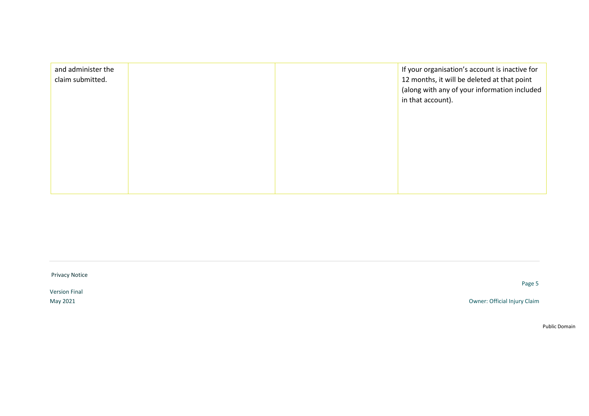| and administer the<br>claim submitted. |  | If your organisation's account is inactive for<br>12 months, it will be deleted at that point<br>(along with any of your information included<br>in that account). |
|----------------------------------------|--|--------------------------------------------------------------------------------------------------------------------------------------------------------------------|
|                                        |  |                                                                                                                                                                    |
|                                        |  |                                                                                                                                                                    |

Privacy Notice

Version Final

Page 5

May 2021 Owner: Official Injury Claim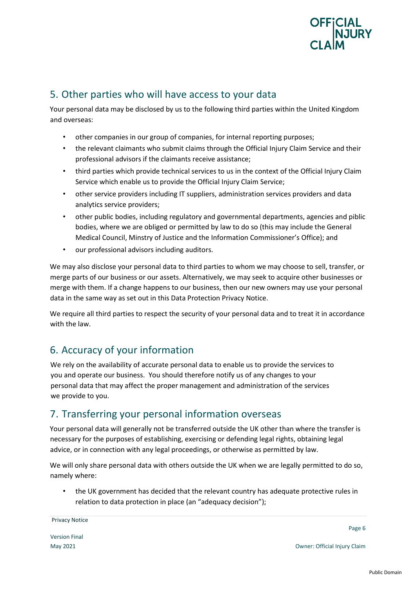

## 5. Other parties who will have access to your data

Your personal data may be disclosed by us to the following third parties within the United Kingdom and overseas:

- other companies in our group of companies, for internal reporting purposes;
- the relevant claimants who submit claims through the Official Injury Claim Service and their professional advisors if the claimants receive assistance;
- third parties which provide technical services to us in the context of the Official Injury Claim Service which enable us to provide the Official Injury Claim Service;
- other service providers including IT suppliers, administration services providers and data analytics service providers;
- other public bodies, including regulatory and governmental departments, agencies and piblic bodies, where we are obliged or permitted by law to do so (this may include the General Medical Council, Minstry of Justice and the Information Commissioner's Office); and
- our professional advisors including auditors.

We may also disclose your personal data to third parties to whom we may choose to sell, transfer, or merge parts of our business or our assets. Alternatively, we may seek to acquire other businesses or merge with them. If a change happens to our business, then our new owners may use your personal data in the same way as set out in this Data Protection Privacy Notice.

We require all third parties to respect the security of your personal data and to treat it in accordance with the law.

# 6. Accuracy of your information

We rely on the availability of accurate personal data to enable us to provide the services to you and operate our business. You should therefore notify us of any changes to your personal data that may affect the proper management and administration of the services we provide to you.

#### 7. Transferring your personal information overseas

Your personal data will generally not be transferred outside the UK other than where the transfer is necessary for the purposes of establishing, exercising or defending legal rights, obtaining legal advice, or in connection with any legal proceedings, or otherwise as permitted by law.

We will only share personal data with others outside the UK when we are legally permitted to do so, namely where:

• the UK government has decided that the relevant country has adequate protective rules in relation to data protection in place (an "adequacy decision");

Page 6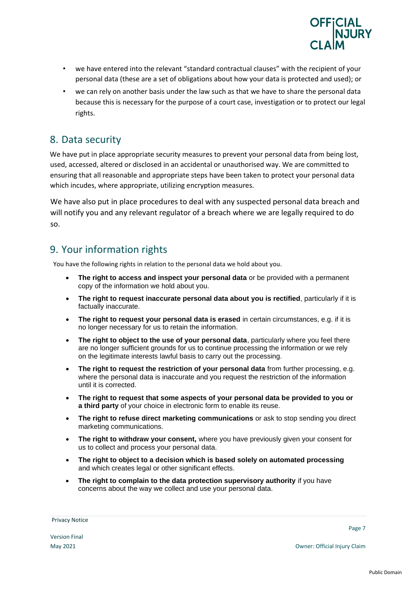

- we have entered into the relevant "standard contractual clauses" with the recipient of your personal data (these are a set of obligations about how your data is protected and used); or
- we can rely on another basis under the law such as that we have to share the personal data because this is necessary for the purpose of a court case, investigation or to protect our legal rights.

#### 8. Data security

We have put in place appropriate security measures to prevent your personal data from being lost, used, accessed, altered or disclosed in an accidental or unauthorised way. We are committed to ensuring that all reasonable and appropriate steps have been taken to protect your personal data which incudes, where appropriate, utilizing encryption measures.

We have also put in place procedures to deal with any suspected personal data breach and will notify you and any relevant regulator of a breach where we are legally required to do so.

### 9. Your information rights

You have the following rights in relation to the personal data we hold about you.

- **The right to access and inspect your personal data** or be provided with a permanent copy of the information we hold about you.
- **The right to request inaccurate personal data about you is rectified**, particularly if it is factually inaccurate.
- **The right to request your personal data is erased** in certain circumstances, e.g. if it is no longer necessary for us to retain the information.
- **The right to object to the use of your personal data**, particularly where you feel there are no longer sufficient grounds for us to continue processing the information or we rely on the legitimate interests lawful basis to carry out the processing.
- **The right to request the restriction of your personal data** from further processing, e.g. where the personal data is inaccurate and you request the restriction of the information until it is corrected.
- **The right to request that some aspects of your personal data be provided to you or a third party** of your choice in electronic form to enable its reuse.
- **The right to refuse direct marketing communications** or ask to stop sending you direct marketing communications.
- **The right to withdraw your consent,** where you have previously given your consent for us to collect and process your personal data.
- **The right to object to a decision which is based solely on automated processing** and which creates legal or other significant effects.
- **The right to complain to the data protection supervisory authority** if you have concerns about the way we collect and use your personal data.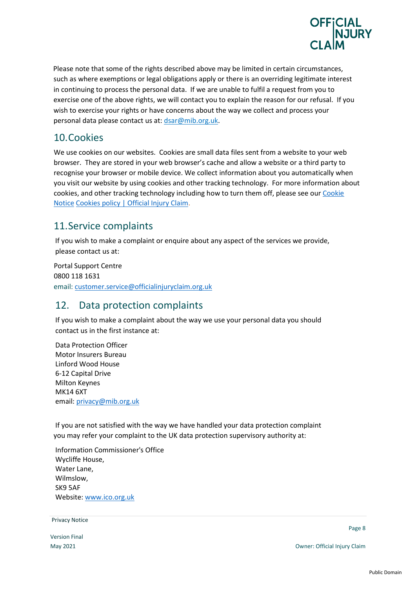

Please note that some of the rights described above may be limited in certain circumstances, such as where exemptions or legal obligations apply or there is an overriding legitimate interest in continuing to process the personal data. If we are unable to fulfil a request from you to exercise one of the above rights, we will contact you to explain the reason for our refusal. If you wish to exercise your rights or have concerns about the way we collect and process your personal data please contact us at: dsar@mib.org.uk.

#### 10.Cookies

We use cookies on our websites. Cookies are small data files sent from a website to your web browser. They are stored in your web browser's cache and allow a website or a third party to recognise your browser or mobile device. We collect information about you automatically when you visit our website by using cookies and other tracking technology. For more information about cookies, and other tracking technology including how to turn them off, please see our Cookie Notice [Cookies policy | Official Injury Claim.](https://www.officialinjuryclaim.org.uk/cookies-policy/)

#### 11.Service complaints

If you wish to make a complaint or enquire about any aspect of the services we provide, please contact us at:

 Portal Support Centre 0800 118 1631 email: [customer.service@officialinjuryclaim.org.uk](mailto:customer.service@officialinjuryclaim.org.uk)

#### 12. Data protection complaints

If you wish to make a complaint about the way we use your personal data you should contact us in the first instance at:

Data Protection Officer Motor Insurers Bureau Linford Wood House 6-12 Capital Drive Milton Keynes MK14 6XT email: [privacy@mib.org.uk](mailto:privacy@mib.org.uk)

If you are not satisfied with the way we have handled your data protection complaint you may refer your complaint to the UK data protection supervisory authority at:

Information Commissioner's Office Wycliffe House, Water Lane, Wilmslow, SK9 5AF Website[: www.ico.org.uk](http://www.ico.org.uk/)

**Privacy Notice Example 2008 Contract Contract Contract Contract Contract Contract Contract Contract Contract Contract Contract Contract Contract Contract Contract Contract Contract Contract Contract Contract Contract** 

Version Final

Page 8

May 2021 Owner: Official Injury Claim